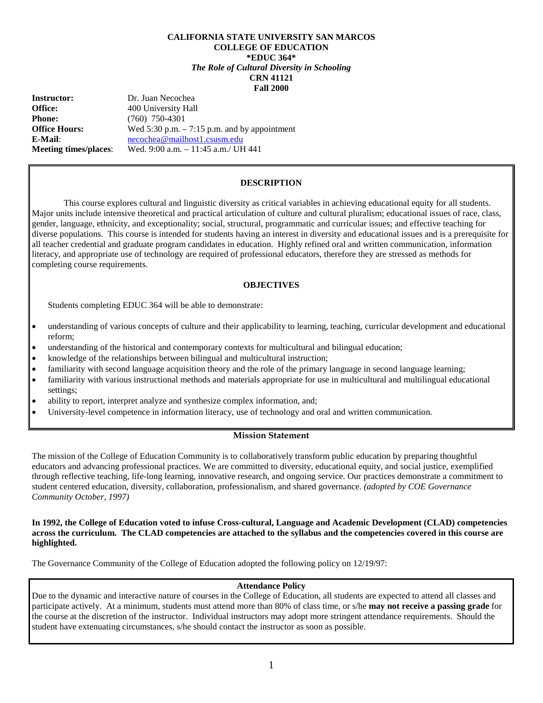## **CALIFORNIA STATE UNIVERSITY SAN MARCOS COLLEGE OF EDUCATION \*EDUC 364\*** *The Role of Cultural Diversity in Schooling* **CRN 41121 Fall 2000**

| <b>Instructor:</b>           | Dr. Juan Necochea                               |
|------------------------------|-------------------------------------------------|
| Office:                      | 400 University Hall                             |
| <b>Phone:</b>                | $(760)$ 750-4301                                |
| <b>Office Hours:</b>         | Wed $5:30$ p.m. $-7:15$ p.m. and by appointment |
| E-Mail:                      | necochea@mailhost1.csusm.edu                    |
| <b>Meeting times/places:</b> | Wed. 9:00 a.m. $-11:45$ a.m./ UH 441            |

## **DESCRIPTION**

This course explores cultural and linguistic diversity as critical variables in achieving educational equity for all students. Major units include intensive theoretical and practical articulation of culture and cultural pluralism; educational issues of race, class, gender, language, ethnicity, and exceptionality; social, structural, programmatic and curricular issues; and effective teaching for diverse populations. This course is intended for students having an interest in diversity and educational issues and is a prerequisite for all teacher credential and graduate program candidates in education. Highly refined oral and written communication, information literacy, and appropriate use of technology are required of professional educators, therefore they are stressed as methods for completing course requirements.

## **OBJECTIVES**

Students completing EDUC 364 will be able to demonstrate:

- understanding of various concepts of culture and their applicability to learning, teaching, curricular development and educational reform;
- understanding of the historical and contemporary contexts for multicultural and bilingual education;
- knowledge of the relationships between bilingual and multicultural instruction;
- familiarity with second language acquisition theory and the role of the primary language in second language learning;
- familiarity with various instructional methods and materials appropriate for use in multicultural and multilingual educational settings;
- ability to report, interpret analyze and synthesize complex information, and;
- University-level competence in information literacy, use of technology and oral and written communication.

### **Mission Statement**

The mission of the College of Education Community is to collaboratively transform public education by preparing thoughtful educators and advancing professional practices. We are committed to diversity, educational equity, and social justice, exemplified through reflective teaching, life-long learning, innovative research, and ongoing service. Our practices demonstrate a commitment to student centered education, diversity, collaboration, professionalism, and shared governance. *(adopted by COE Governance Community October, 1997)*

## **In 1992, the College of Education voted to infuse Cross-cultural, Language and Academic Development (CLAD) competencies across the curriculum. The CLAD competencies are attached to the syllabus and the competencies covered in this course are highlighted.**

The Governance Community of the College of Education adopted the following policy on 12/19/97:

# **Attendance Policy**

Due to the dynamic and interactive nature of courses in the College of Education, all students are expected to attend all classes and participate actively. At a minimum, students must attend more than 80% of class time, or s/he **may not receive a passing grade** for the course at the discretion of the instructor. Individual instructors may adopt more stringent attendance requirements. Should the student have extenuating circumstances, s/he should contact the instructor as soon as possible.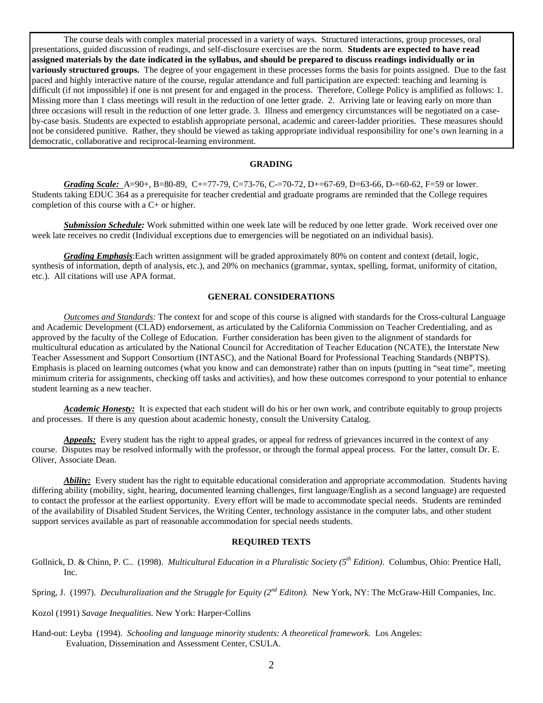The course deals with complex material processed in a variety of ways. Structured interactions, group processes, oral presentations, guided discussion of readings, and self-disclosure exercises are the norm. **Students are expected to have read assigned materials by the date indicated in the syllabus, and should be prepared to discuss readings individually or in variously structured groups.** The degree of your engagement in these processes forms the basis for points assigned. Due to the fast paced and highly interactive nature of the course, regular attendance and full participation are expected: teaching and learning is difficult (if not impossible) if one is not present for and engaged in the process. Therefore, College Policy is amplified as follows: 1. Missing more than 1 class meetings will result in the reduction of one letter grade. 2. Arriving late or leaving early on more than three occasions will result in the reduction of one letter grade. 3. Illness and emergency circumstances will be negotiated on a caseby-case basis. Students are expected to establish appropriate personal, academic and career-ladder priorities. These measures should not be considered punitive. Rather, they should be viewed as taking appropriate individual responsibility for one's own learning in a democratic, collaborative and reciprocal-learning environment.

#### **GRADING**

*Grading Scale:* A=90+, B=80-89, C+=77-79, C=73-76, C-=70-72, D+=67-69, D=63-66, D-=60-62, F=59 or lower. Students taking EDUC 364 as a prerequisite for teacher credential and graduate programs are reminded that the College requires completion of this course with a C+ or higher.

*Submission Schedule:* Work submitted within one week late will be reduced by one letter grade. Work received over one week late receives no credit (Individual exceptions due to emergencies will be negotiated on an individual basis).

*Grading Emphasis*:Each written assignment will be graded approximately 80% on content and context (detail, logic, synthesis of information, depth of analysis, etc.), and 20% on mechanics (grammar, syntax, spelling, format, uniformity of citation, etc.). All citations will use APA format.

#### **GENERAL CONSIDERATIONS**

*Outcomes and Standards:* The context for and scope of this course is aligned with standards for the Cross-cultural Language and Academic Development (CLAD) endorsement, as articulated by the California Commission on Teacher Credentialing, and as approved by the faculty of the College of Education. Further consideration has been given to the alignment of standards for multicultural education as articulated by the National Council for Accreditation of Teacher Education (NCATE), the Interstate New Teacher Assessment and Support Consortium (INTASC), and the National Board for Professional Teaching Standards (NBPTS). Emphasis is placed on learning outcomes (what you know and can demonstrate) rather than on inputs (putting in "seat time", meeting minimum criteria for assignments, checking off tasks and activities), and how these outcomes correspond to your potential to enhance student learning as a new teacher.

*Academic Honesty:* It is expected that each student will do his or her own work, and contribute equitably to group projects and processes. If there is any question about academic honesty, consult the University Catalog.

Appeals: Every student has the right to appeal grades, or appeal for redress of grievances incurred in the context of any course. Disputes may be resolved informally with the professor, or through the formal appeal process. For the latter, consult Dr. E. Oliver, Associate Dean.

*Ability*: Every student has the right to equitable educational consideration and appropriate accommodation. Students having differing ability (mobility, sight, hearing, documented learning challenges, first language/English as a second language) are requested to contact the professor at the earliest opportunity. Every effort will be made to accommodate special needs. Students are reminded of the availability of Disabled Student Services, the Writing Center, technology assistance in the computer labs, and other student support services available as part of reasonable accommodation for special needs students.

## **REQUIRED TEXTS**

Gollnick, D. & Chinn, P. C.. (1998). *Multicultural Education in a Pluralistic Society (5th Edition)*. Columbus, Ohio: Prentice Hall, Inc.

Spring, J. (1997). *Deculturalization and the Struggle for Equity (2<sup>nd</sup> Editon).* New York, NY: The McGraw-Hill Companies, Inc.

Kozol (1991) *Savage Inequalities.* New York: Harper-Collins

Hand-out: Leyba (1994). *Schooling and language minority students: A theoretical framework.* Los Angeles: Evaluation, Dissemination and Assessment Center, CSULA.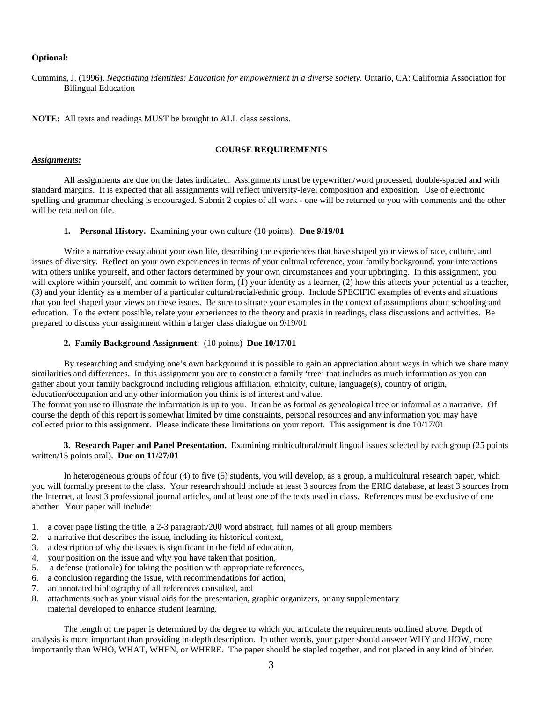### **Optional:**

Cummins, J. (1996). *Negotiating identities: Education for empowerment in a diverse society*. Ontario, CA: California Association for Bilingual Education

**NOTE:** All texts and readings MUST be brought to ALL class sessions.

#### **COURSE REQUIREMENTS**

#### *Assignments:*

All assignments are due on the dates indicated. Assignments must be typewritten/word processed, double-spaced and with standard margins. It is expected that all assignments will reflect university-level composition and exposition. Use of electronic spelling and grammar checking is encouraged. Submit 2 copies of all work - one will be returned to you with comments and the other will be retained on file.

### **1. Personal History.** Examining your own culture (10 points). **Due 9/19/01**

Write a narrative essay about your own life, describing the experiences that have shaped your views of race, culture, and issues of diversity. Reflect on your own experiences in terms of your cultural reference, your family background, your interactions with others unlike yourself, and other factors determined by your own circumstances and your upbringing. In this assignment, you will explore within yourself, and commit to written form, (1) your identity as a learner, (2) how this affects your potential as a teacher, (3) and your identity as a member of a particular cultural/racial/ethnic group. Include SPECIFIC examples of events and situations that you feel shaped your views on these issues. Be sure to situate your examples in the context of assumptions about schooling and education. To the extent possible, relate your experiences to the theory and praxis in readings, class discussions and activities. Be prepared to discuss your assignment within a larger class dialogue on 9/19/01

#### **2. Family Background Assignment**: (10 points) **Due 10/17/01**

By researching and studying one's own background it is possible to gain an appreciation about ways in which we share many similarities and differences. In this assignment you are to construct a family 'tree' that includes as much information as you can gather about your family background including religious affiliation, ethnicity, culture, language(s), country of origin, education/occupation and any other information you think is of interest and value.

The format you use to illustrate the information is up to you. It can be as formal as genealogical tree or informal as a narrative. Of course the depth of this report is somewhat limited by time constraints, personal resources and any information you may have collected prior to this assignment. Please indicate these limitations on your report. This assignment is due 10/17/01

**3. Research Paper and Panel Presentation.** Examining multicultural/multilingual issues selected by each group (25 points written/15 points oral). **Due on 11/27/01**

In heterogeneous groups of four (4) to five (5) students, you will develop, as a group, a multicultural research paper, which you will formally present to the class. Your research should include at least 3 sources from the ERIC database, at least 3 sources from the Internet, at least 3 professional journal articles, and at least one of the texts used in class. References must be exclusive of one another. Your paper will include:

- 1. a cover page listing the title, a 2-3 paragraph/200 word abstract, full names of all group members
- 2. a narrative that describes the issue, including its historical context,
- 3. a description of why the issues is significant in the field of education,
- 4. your position on the issue and why you have taken that position,
- 5. a defense (rationale) for taking the position with appropriate references,
- 6. a conclusion regarding the issue, with recommendations for action,
- 7. an annotated bibliography of all references consulted, and
- 8. attachments such as your visual aids for the presentation, graphic organizers, or any supplementary
	- material developed to enhance student learning.

The length of the paper is determined by the degree to which you articulate the requirements outlined above. Depth of analysis is more important than providing in-depth description. In other words, your paper should answer WHY and HOW, more importantly than WHO, WHAT, WHEN, or WHERE. The paper should be stapled together, and not placed in any kind of binder.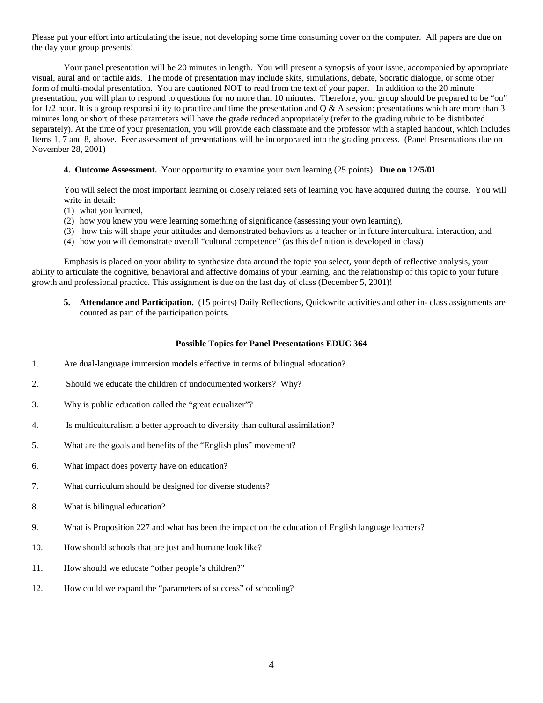Please put your effort into articulating the issue, not developing some time consuming cover on the computer. All papers are due on the day your group presents!

Your panel presentation will be 20 minutes in length. You will present a synopsis of your issue, accompanied by appropriate visual, aural and or tactile aids. The mode of presentation may include skits, simulations, debate, Socratic dialogue, or some other form of multi-modal presentation. You are cautioned NOT to read from the text of your paper. In addition to the 20 minute presentation, you will plan to respond to questions for no more than 10 minutes. Therefore, your group should be prepared to be "on" for  $1/2$  hour. It is a group responsibility to practice and time the presentation and  $\overline{O} \& \overline{A}$  session: presentations which are more than 3 minutes long or short of these parameters will have the grade reduced appropriately (refer to the grading rubric to be distributed separately). At the time of your presentation, you will provide each classmate and the professor with a stapled handout, which includes Items 1, 7 and 8, above. Peer assessment of presentations will be incorporated into the grading process. (Panel Presentations due on November 28, 2001)

## **4. Outcome Assessment.** Your opportunity to examine your own learning (25 points). **Due on 12/5/01**

You will select the most important learning or closely related sets of learning you have acquired during the course. You will write in detail:

- (1) what you learned,
- (2) how you knew you were learning something of significance (assessing your own learning),
- (3) how this will shape your attitudes and demonstrated behaviors as a teacher or in future intercultural interaction, and
- (4) how you will demonstrate overall "cultural competence" (as this definition is developed in class)

Emphasis is placed on your ability to synthesize data around the topic you select, your depth of reflective analysis, your ability to articulate the cognitive, behavioral and affective domains of your learning, and the relationship of this topic to your future growth and professional practice. This assignment is due on the last day of class (December 5, 2001)!

**5. Attendance and Participation.** (15 points) Daily Reflections, Quickwrite activities and other in- class assignments are counted as part of the participation points.

### **Possible Topics for Panel Presentations EDUC 364**

- 1. Are dual-language immersion models effective in terms of bilingual education?
- 2. Should we educate the children of undocumented workers? Why?
- 3. Why is public education called the "great equalizer"?
- 4. Is multiculturalism a better approach to diversity than cultural assimilation?
- 5. What are the goals and benefits of the "English plus" movement?
- 6. What impact does poverty have on education?
- 7. What curriculum should be designed for diverse students?
- 8. What is bilingual education?
- 9. What is Proposition 227 and what has been the impact on the education of English language learners?
- 10. How should schools that are just and humane look like?
- 11. How should we educate "other people's children?"
- 12. How could we expand the "parameters of success" of schooling?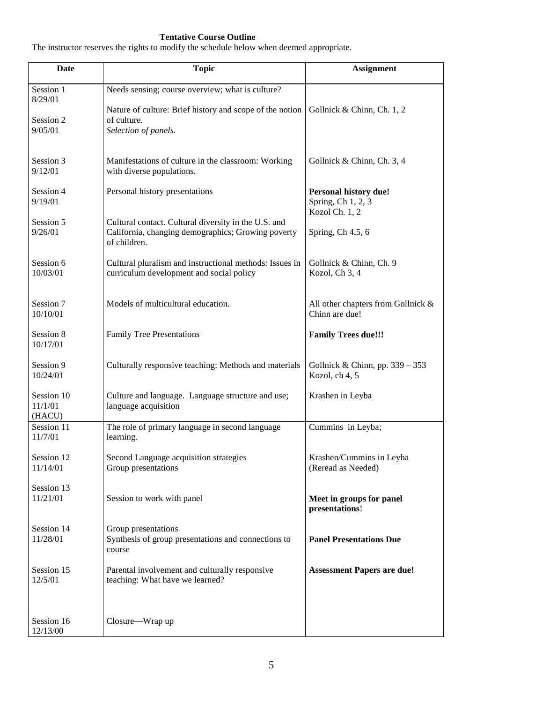## **Tentative Course Outline**

The instructor reserves the rights to modify the schedule below when deemed appropriate.

| Date                 | <b>Topic</b>                                                            | <b>Assignment</b>                  |
|----------------------|-------------------------------------------------------------------------|------------------------------------|
| Session 1            | Needs sensing; course overview; what is culture?                        |                                    |
| 8/29/01              |                                                                         |                                    |
| Session 2            | Nature of culture: Brief history and scope of the notion<br>of culture. | Gollnick & Chinn, Ch. 1, 2         |
| 9/05/01              | Selection of panels.                                                    |                                    |
|                      |                                                                         |                                    |
| Session 3            | Manifestations of culture in the classroom: Working                     | Gollnick & Chinn, Ch. 3, 4         |
| 9/12/01              | with diverse populations.                                               |                                    |
| Session 4            | Personal history presentations                                          | Personal history due!              |
| 9/19/01              |                                                                         | Spring, Ch 1, 2, 3                 |
| Session 5            | Cultural contact. Cultural diversity in the U.S. and                    | Kozol Ch. 1, 2                     |
| 9/26/01              | California, changing demographics; Growing poverty                      | Spring, $Ch$ 4,5, 6                |
|                      | of children.                                                            |                                    |
| Session 6            | Cultural pluralism and instructional methods: Issues in                 | Gollnick & Chinn, Ch. 9            |
| 10/03/01             | curriculum development and social policy                                | Kozol, Ch 3, 4                     |
|                      |                                                                         |                                    |
| Session 7            | Models of multicultural education.                                      | All other chapters from Gollnick & |
| 10/10/01             |                                                                         | Chinn are due!                     |
| Session 8            | <b>Family Tree Presentations</b>                                        | <b>Family Trees due!!!</b>         |
| 10/17/01             |                                                                         |                                    |
| Session 9            | Culturally responsive teaching: Methods and materials                   | Gollnick & Chinn, pp. 339 - 353    |
| 10/24/01             |                                                                         | Kozol, ch 4, 5                     |
| Session 10           | Culture and language. Language structure and use;                       | Krashen in Leyba                   |
| 11/1/01              | language acquisition                                                    |                                    |
| (HACU)<br>Session 11 | The role of primary language in second language                         | Cummins in Leyba;                  |
| 11/7/01              | learning.                                                               |                                    |
| Session 12           | Second Language acquisition strategies                                  | Krashen/Cummins in Leyba           |
| 11/14/01             | Group presentations                                                     | (Reread as Needed)                 |
| Session 13           |                                                                         |                                    |
| 11/21/01             | Session to work with panel                                              | Meet in groups for panel           |
|                      |                                                                         | presentations!                     |
| Session 14           | Group presentations                                                     |                                    |
| 11/28/01             | Synthesis of group presentations and connections to                     | <b>Panel Presentations Due</b>     |
|                      | course                                                                  |                                    |
| Session 15           | Parental involvement and culturally responsive                          | <b>Assessment Papers are due!</b>  |
| 12/5/01              | teaching: What have we learned?                                         |                                    |
|                      |                                                                         |                                    |
| Session 16           |                                                                         |                                    |
| 12/13/00             | Closure-Wrap up                                                         |                                    |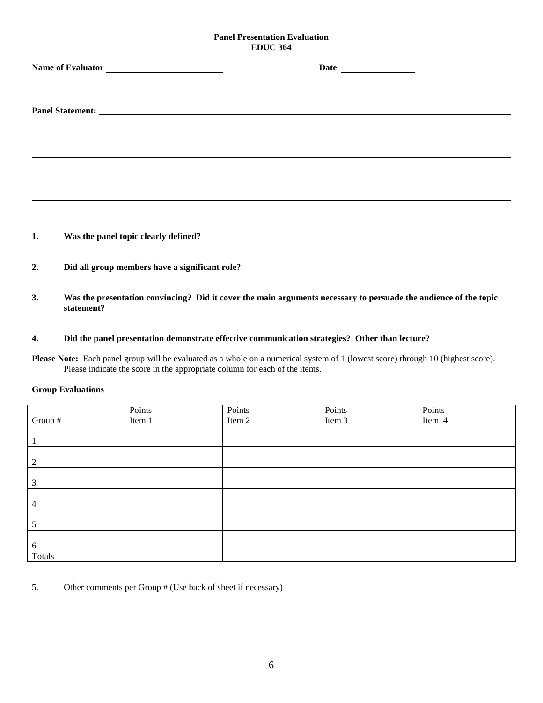## **Panel Presentation Evaluation EDUC 364**

- **1. Was the panel topic clearly defined?**
- **2. Did all group members have a significant role?**
- **3. Was the presentation convincing? Did it cover the main arguments necessary to persuade the audience of the topic statement?**
- **4. Did the panel presentation demonstrate effective communication strategies? Other than lecture?**

**Please Note:** Each panel group will be evaluated as a whole on a numerical system of 1 (lowest score) through 10 (highest score). Please indicate the score in the appropriate column for each of the items.

## **Group Evaluations**

|         | Points | Points | Points | Points<br>Item 4 |
|---------|--------|--------|--------|------------------|
| Group # | Item 1 | Item 2 | Item 3 |                  |
|         |        |        |        |                  |
|         |        |        |        |                  |
|         |        |        |        |                  |
| ∍       |        |        |        |                  |
|         |        |        |        |                  |
| 3       |        |        |        |                  |
|         |        |        |        |                  |
| 4       |        |        |        |                  |
|         |        |        |        |                  |
| з       |        |        |        |                  |
|         |        |        |        |                  |
| 6       |        |        |        |                  |
| Totals  |        |        |        |                  |

5. Other comments per Group # (Use back of sheet if necessary)